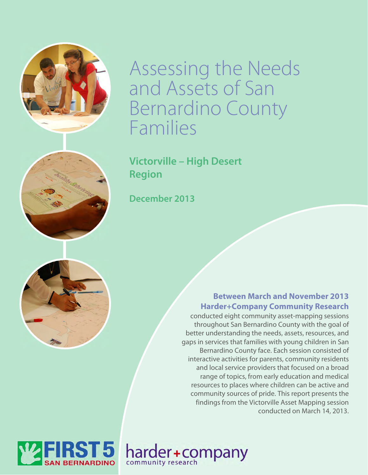

Assessing the Needs and Assets of San Bernardino County Families

**Victorville – High Desert Region** 

**December 2013** 



### **Between March and November 2013 Harder+Company Community Research**

conducted eight community asset-mapping sessions throughout San Bernardino County with the goal of better understanding the needs, assets, resources, and gaps in services that families with young children in San Bernardino County face. Each session consisted of interactive activities for parents, community residents and local service providers that focused on a broad range of topics, from early education and medical resources to places where children can be active and community sources of pride. This report presents the findings from the Victorville Asset Mapping session conducted on March 14, 2013.



harder+company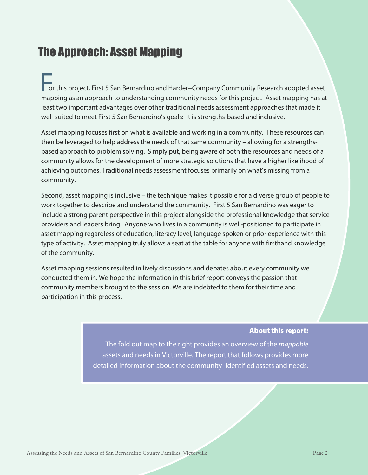# The Approach: Asset Mapping

For this project, First 5 San Bernardino and Harder+Company Community Research adopted asset mapping as an approach to understanding community needs for this project. Asset mapping has at least two important advantages over other traditional needs assessment approaches that made it well-suited to meet First 5 San Bernardino's goals: it is strengths-based and inclusive.

Asset mapping focuses first on what is available and working in a community. These resources can then be leveraged to help address the needs of that same community – allowing for a strengthsbased approach to problem solving. Simply put, being aware of both the resources and needs of a community allows for the development of more strategic solutions that have a higher likelihood of achieving outcomes. Traditional needs assessment focuses primarily on what's missing from a community.

Second, asset mapping is inclusive – the technique makes it possible for a diverse group of people to work together to describe and understand the community. First 5 San Bernardino was eager to include a strong parent perspective in this project alongside the professional knowledge that service providers and leaders bring. Anyone who lives in a community is well-positioned to participate in asset mapping regardless of education, literacy level, language spoken or prior experience with this type of activity. Asset mapping truly allows a seat at the table for anyone with firsthand knowledge of the community.

Asset mapping sessions resulted in lively discussions and debates about every community we conducted them in. We hope the information in this brief report conveys the passion that community members brought to the session. We are indebted to them for their time and participation in this process.

#### About this report:

The fold out map to the right provides an overview of the mappable assets and needs in Victorville. The report that follows provides more detailed information about the community–identified assets and needs.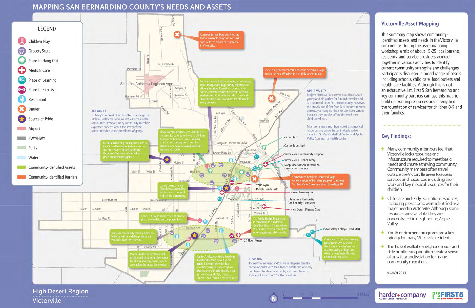### **MAPPING SAN BERNARDINO COUNTY'S NEEDS AND ASSETS**



High Desert Region Victorville





**Z MILES** 

### **Victorville Asset Mapping**

This summary map shows communityidentified assets and needs in the Victorville community. During the asset mapping workshop a mix of about 15-25 local parents, residents, and service providers worked together in various activities to identify current community strengths and challenges. Participants discussed a broad range of assets including schools, child care, food outlets and health care facilities. Although this is not an exhaustive list, First 5 San Bernardino and key community partners can use this map to build on existing resources and strengthen the foundation of services for children 0-5 and their families.

### **Key Findings:**

 $\blacksquare$  Many community members feel that Victorville lacks resources and infrastructure required to meet basic needs and create a thriving community. Community members often travel outside the Victorville areas to access services and resources, including their work and key medical resources for their children.

+ Childcare and early education resources, including preschools, were identified as a major need in Victorville. Although some resources are available, they are concentrated in neighboring Apple Valley.

 $\pm$  Youth enrichment programs are a key priority for many Victorville residents.

 $\blacksquare$  The lack of walkable neighborhoods and little public transportation create a sense of unsafety and isolation for many community members.

**MZFIRST5** 

**MARCH 2013** 

community research

harder+company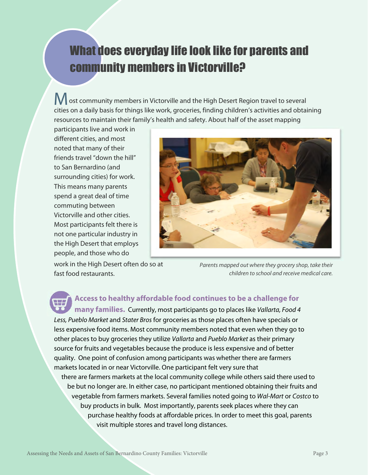# What does everyday life look like for parents and community members in Victorville?

**M** ost community members in Victorville and the High Desert Region travel to several cities on a daily basis for things like work, groceries, finding children's activities and obtaining resources to maintain their family's health and safety. About half of the asset mapping

participants live and work in different cities, and most noted that many of their friends travel "down the hill" to San Bernardino (and surrounding cities) for work. This means many parents spend a great deal of time commuting between Victorville and other cities. Most participants felt there is not one particular industry in the High Desert that employs people, and those who do



work in the High Desert often do so at fast food restaurants.

Parents mapped out where they grocery shop, take their children to school and receive medical care.

 **Access to healthy affordable food continues to be a challenge for** 

**many families.** Currently, most participants go to places like Vallarta, Food 4 Less, Pueblo Market and Stater Bros for groceries as those places often have specials or less expensive food items. Most community members noted that even when they go to other places to buy groceries they utilize *Vallarta* and Pueblo Market as their primary source for fruits and vegetables because the produce is less expensive and of better quality. One point of confusion among participants was whether there are farmers markets located in or near Victorville. One participant felt very sure that there are farmers markets at the local community college while others said there used to

 be but no longer are. In either case, no participant mentioned obtaining their fruits and vegetable from farmers markets. Several families noted going to Wal-Mart or Costco to buy products in bulk. Most importantly, parents seek places where they can purchase healthy foods at affordable prices. In order to meet this goal, parents visit multiple stores and travel long distances.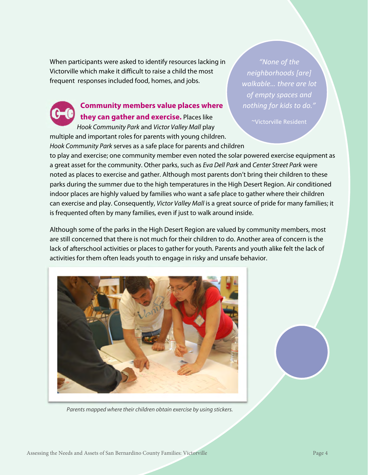When participants were asked to identify resources lacking in Victorville which make it difficult to raise a child the most frequent responses included food, homes, and jobs.

### **Community members value places where they can gather and exercise.** Places like

Hook Community Park and Victor Valley Mall play multiple and important roles for parents with young children. Hook Community Park serves as a safe place for parents and children

*"None of the neighborhoods [are] walkable… there are lot of empty spaces and nothing for kids to do."*

~Victorville Resident

to play and exercise; one community member even noted the solar powered exercise equipment as a great asset for the community. Other parks, such as Eva Dell Park and Center Street Park were noted as places to exercise and gather. Although most parents don't bring their children to these parks during the summer due to the high temperatures in the High Desert Region. Air conditioned indoor places are highly valued by families who want a safe place to gather where their children can exercise and play. Consequently, Victor Valley Mall is a great source of pride for many families; it is frequented often by many families, even if just to walk around inside.

Although some of the parks in the High Desert Region are valued by community members, most are still concerned that there is not much for their children to do. Another area of concern is the lack of afterschool activities or places to gather for youth. Parents and youth alike felt the lack of activities for them often leads youth to engage in risky and unsafe behavior.



Parents mapped where their children obtain exercise by using stickers.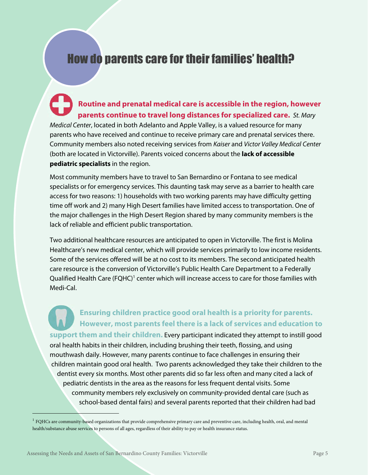# How do parents care for their families' health?

**Routine and prenatal medical care is accessible in the region, however parents continue to travel long distances for specialized care.** St. Mary Medical Center, located in both Adelanto and Apple Valley, is a valued resource for many parents who have received and continue to receive primary care and prenatal services there. Community members also noted receiving services from Kaiser and Victor Valley Medical Center (both are located in Victorville). Parents voiced concerns about the **lack of accessible pediatric specialists** in the region.

Most community members have to travel to San Bernardino or Fontana to see medical specialists or for emergency services. This daunting task may serve as a barrier to health care access for two reasons: 1) households with two working parents may have difficulty getting time off work and 2) many High Desert families have limited access to transportation. One of the major challenges in the High Desert Region shared by many community members is the lack of reliable and efficient public transportation.

Two additional healthcare resources are anticipated to open in Victorville. The first is Molina Healthcare's new medical center, which will provide services primarily to low income residents. Some of the services offered will be at no cost to its members. The second anticipated health care resource is the conversion of Victorville's Public Health Care Department to a Federally Qualified Health Care (FQHC)<sup>1</sup> center which will increase access to care for those families with Medi-Cal.

**Ensuring children practice good oral health is a priority for parents. However, most parents feel there is a lack of services and education to support them and their children.** Every participant indicated they attempt to instill good oral health habits in their children, including brushing their teeth, flossing, and using mouthwash daily. However, many parents continue to face challenges in ensuring their children maintain good oral health. Two parents acknowledged they take their children to the dentist every six months. Most other parents did so far less often and many cited a lack of pediatric dentists in the area as the reasons for less frequent dental visits. Some community members rely exclusively on community-provided dental care (such as school-based dental fairs) and several parents reported that their children had bad

 $\overline{a}$ 

<sup>&</sup>lt;sup>1</sup> FQHCs are community-based organizations that provide comprehensive primary care and preventive care, including health, oral, and mental health/substance abuse services to persons of all ages, regardless of their ability to pay or health insurance status.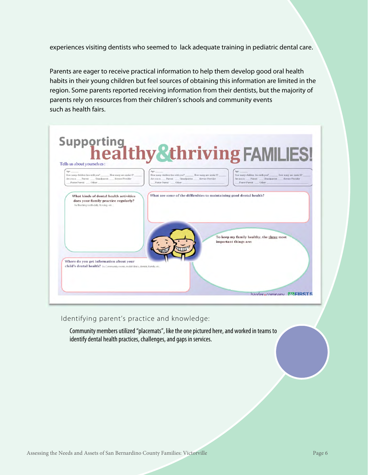experiences visiting dentists who seemed to lack adequate training in pediatric dental care.

Parents are eager to receive practical information to help them develop good oral health habits in their young children but feel sources of obtaining this information are limited in the region. Some parents reported receiving information from their dentists, but the majority of parents rely on resources from their children's schools and community events such as health fairs.



#### Identifying parent's practice and knowledge:

Community members utilized "placemats", like the one pictured here, and worked in teams to identify dental health practices, challenges, and gaps in services.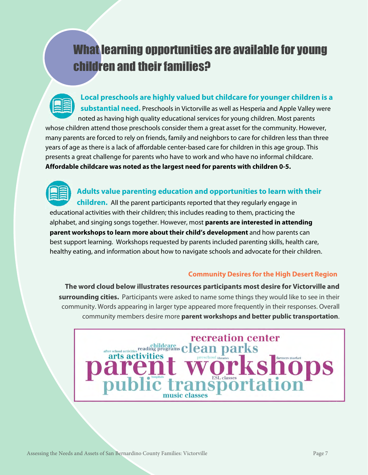# What learning opportunities are available for young children and their families?

**Local preschools are highly valued but childcare for younger children is a substantial need.** Preschools in Victorville as well as Hesperia and Apple Valley were noted as having high quality educational services for young children. Most parents whose children attend those preschools consider them a great asset for the community. However, many parents are forced to rely on friends, family and neighbors to care for children less than three years of age as there is a lack of affordable center-based care for children in this age group. This presents a great challenge for parents who have to work and who have no informal childcare. **Affordable childcare was noted as the largest need for parents with children 0-5.** 



**Adults value parenting education and opportunities to learn with their** 

**children.** All the parent participants reported that they regularly engage in educational activities with their children; this includes reading to them, practicing the alphabet, and singing songs together. However, most **parents are interested in attending parent workshops to learn more about their child's development** and how parents can best support learning. Workshops requested by parents included parenting skills, health care, healthy eating, and information about how to navigate schools and advocate for their children.

#### **Community Desires for the High Desert Region**

**The word cloud below illustrates resources participants most desire for Victorville and surrounding cities.** Participants were asked to name some things they would like to see in their community. Words appearing in larger type appeared more frequently in their responses. Overall community members desire more **parent workshops and better public transportation**.

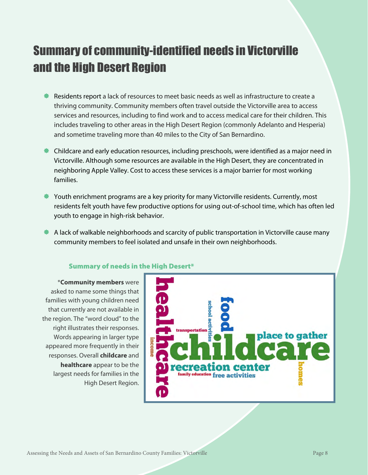# Summary of community-identified needs in Victorville and the High Desert Region

- Residents report a lack of resources to meet basic needs as well as infrastructure to create a thriving community. Community members often travel outside the Victorville area to access services and resources, including to find work and to access medical care for their children. This includes traveling to other areas in the High Desert Region (commonly Adelanto and Hesperia) and sometime traveling more than 40 miles to the City of San Bernardino.
- Childcare and early education resources, including preschools, were identified as a major need in Victorville. Although some resources are available in the High Desert, they are concentrated in neighboring Apple Valley. Cost to access these services is a major barrier for most working families.
- Youth enrichment programs are a key priority for many Victorville residents. Currently, most residents felt youth have few productive options for using out-of-school time, which has often led youth to engage in high-risk behavior.
- A lack of walkable neighborhoods and scarcity of public transportation in Victorville cause many community members to feel isolated and unsafe in their own neighborhoods.



#### Summary of needs in the High Desert\*

\***Community members** were asked to name some things that families with young children need that currently are not available in the region. The "word cloud" to the right illustrates their responses. Words appearing in larger type appeared more frequently in their responses. Overall **childcare** and **healthcare** appear to be the largest needs for families in the

High Desert Region.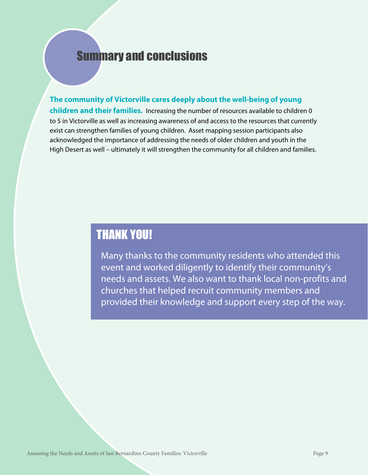### Summary and conclusions

**The community of Victorville cares deeply about the well-being of young children and their families.** Increasing the number of resources available to children 0 to 5 in Victorville as well as increasing awareness of and access to the resources that currently exist can strengthen families of young children. Asset mapping session participants also acknowledged the importance of addressing the needs of older children and youth in the High Desert as well – ultimately it will strengthen the community for all children and families.

### THANK YOU!

Many thanks to the community residents who attended this event and worked diligently to identify their community's needs and assets. We also want to thank local non-profits and churches that helped recruit community members and provided their knowledge and support every step of the way.